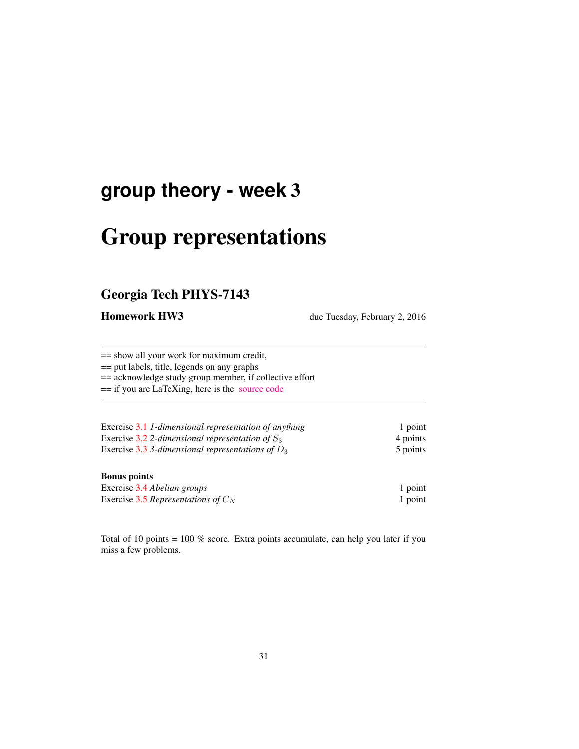# **group theory - week** 3

# Group representations

## Georgia Tech PHYS-7143

Homework HW3 due Tuesday, February 2, 2016

== show all your work for maximum credit,

== put labels, title, legends on any graphs

== acknowledge study group member, if collective effort

== if you are LaTeXing, here is the [source code](http://birdtracks.eu/courses/PHYS-7143-16/exerWeek3.tex)

| Exercise 3.1 1-dimensional representation of anything | 1 point  |
|-------------------------------------------------------|----------|
| Exercise 3.2 2-dimensional representation of $S_3$    | 4 points |
| Exercise 3.3 3-dimensional representations of $D_3$   | 5 points |

#### Bonus points

| Exercise 3.4 Abelian groups           | 1 point |
|---------------------------------------|---------|
| Exercise 3.5 Representations of $C_N$ | 1 point |

Total of 10 points = 100 % score. Extra points accumulate, can help you later if you miss a few problems.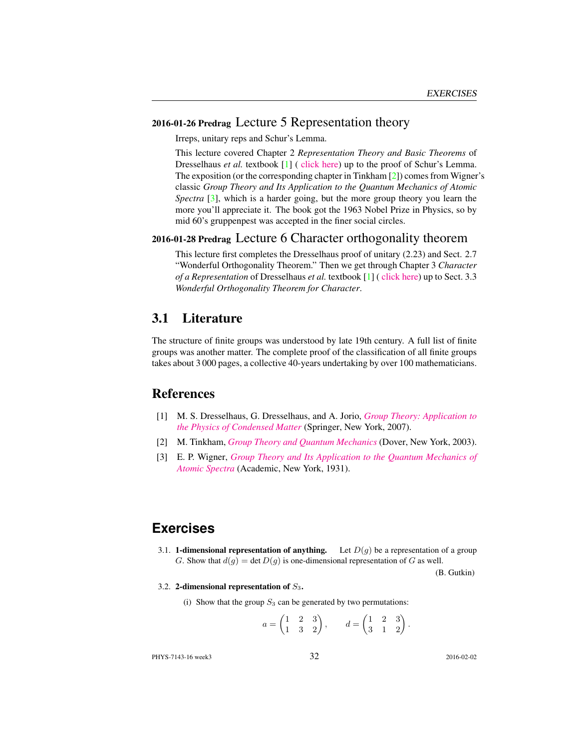#### 2016-01-26 Predrag Lecture 5 Representation theory

Irreps, unitary reps and Schur's Lemma.

This lecture covered Chapter 2 *Representation Theory and Basic Theorems* of Dresselhaus *et al.* textbook [1] ( [click here\)](http://chaosbook.org/library/Dresselhaus07.pdf) up to the proof of Schur's Lemma. The exposition (or the corresponding chapter in Tinkham [2]) comes from Wigner's classic *Group Theory and Its Application to the Quantum Mechanics of Atomic Spectra* [3], which is a harder going, but the more group theory you learn the more you'll appreciate it. The book got the 1963 Nobel Prize in Physics, so by mid 60's gruppenpest was accepted in the finer social circles.

#### 2016-01-28 Predrag Lecture 6 Character orthogonality theorem

This lecture first completes the Dresselhaus proof of unitary (2.23) and Sect. 2.7 "Wonderful Orthogonality Theorem." Then we get through Chapter 3 *Character of a Representation* of Dresselhaus *et al.* textbook [1] ( [click here\)](http://chaosbook.org/library/Dresselhaus07.pdf) up to Sect. 3.3 *Wonderful Orthogonality Theorem for Character*.

#### 3.1 Literature

The structure of finite groups was understood by late 19th century. A full list of finite groups was another matter. The complete proof of the classification of all finite groups takes about 3 000 pages, a collective 40-years undertaking by over 100 mathematicians.

#### References

- [1] M. S. Dresselhaus, G. Dresselhaus, and A. Jorio, *[Group Theory: Application to](http://dx.doi.org/10.1007/978-3-540-32899-5) [the Physics of Condensed Matter](http://dx.doi.org/10.1007/978-3-540-32899-5)* (Springer, New York, 2007).
- [2] M. Tinkham, *[Group Theory and Quantum Mechanics](http://books.google.com/books?vid=ISBN9780486131665)* (Dover, New York, 2003).
- [3] E. P. Wigner, *[Group Theory and Its Application to the Quantum Mechanics of](http://books.google.com/books?vid=ISBN9780323152785) [Atomic Spectra](http://books.google.com/books?vid=ISBN9780323152785)* (Academic, New York, 1931).

### **Exercises**

3.1. **1-dimensional representation of anything.** Let  $D(g)$  be a representation of a group G. Show that  $d(g) = \det D(g)$  is one-dimensional representation of G as well.

(B. Gutkin)

.

3.2. 2-dimensional representation of  $S_3$ .

(i) Show that the group  $S_3$  can be generated by two permutations:

$$
a = \begin{pmatrix} 1 & 2 & 3 \\ 1 & 3 & 2 \end{pmatrix}, \qquad d = \begin{pmatrix} 1 & 2 & 3 \\ 3 & 1 & 2 \end{pmatrix}
$$

PHYS-7143-16 week3 32 2016-02-02